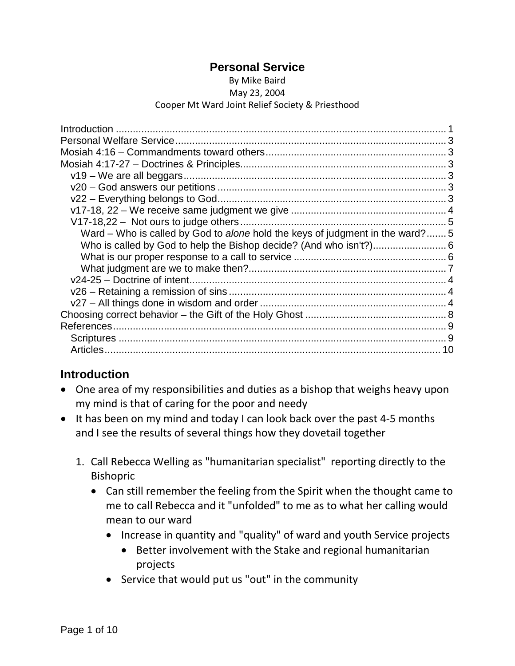#### **Personal Service**

#### By Mike Baird May 23, 2004

#### Cooper Mt Ward Joint Relief Society & Priesthood

| Ward - Who is called by God to alone hold the keys of judgment in the ward? 5 |  |
|-------------------------------------------------------------------------------|--|
|                                                                               |  |
|                                                                               |  |
|                                                                               |  |
|                                                                               |  |
|                                                                               |  |
|                                                                               |  |
|                                                                               |  |
|                                                                               |  |
|                                                                               |  |
|                                                                               |  |
|                                                                               |  |

## <span id="page-0-0"></span>**Introduction**

- One area of my responsibilities and duties as a bishop that weighs heavy upon my mind is that of caring for the poor and needy
- It has been on my mind and today I can look back over the past 4-5 months and I see the results of several things how they dovetail together
	- 1. Call Rebecca Welling as "humanitarian specialist" reporting directly to the Bishopric
		- Can still remember the feeling from the Spirit when the thought came to me to call Rebecca and it "unfolded" to me as to what her calling would mean to our ward
			- Increase in quantity and "quality" of ward and youth Service projects
				- Better involvement with the Stake and regional humanitarian projects
			- Service that would put us "out" in the community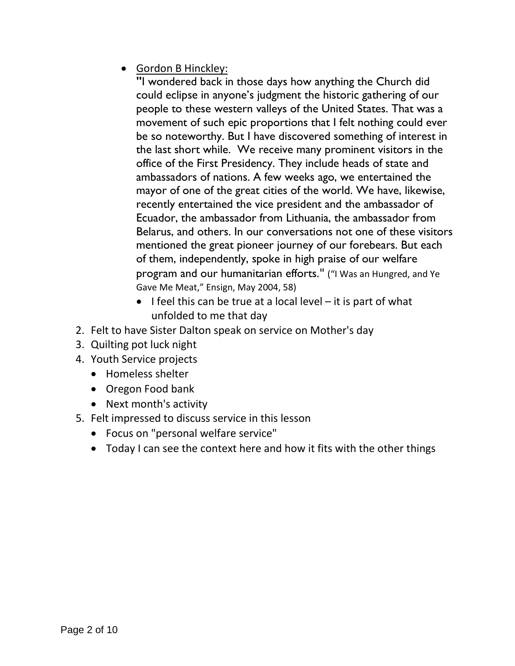• Gordon B Hinckley:

**"**I wondered back in those days how anything the Church did could eclipse in anyone's judgment the historic gathering of our people to these western valleys of the United States. That was a movement of such epic proportions that I felt nothing could ever be so noteworthy. But I have discovered something of interest in the last short while. We receive many prominent visitors in the office of the First Presidency. They include heads of state and ambassadors of nations. A few weeks ago, we entertained the mayor of one of the great cities of the world. We have, likewise, recently entertained the vice president and the ambassador of Ecuador, the ambassador from Lithuania, the ambassador from Belarus, and others. In our conversations not one of these visitors mentioned the great pioneer journey of our forebears. But each of them, independently, spoke in high praise of our welfare program and our humanitarian efforts." ("I Was an Hungred, and Ye Gave Me Meat," Ensign, May 2004, 58)

- $\bullet$  I feel this can be true at a local level it is part of what unfolded to me that day
- 2. Felt to have Sister Dalton speak on service on Mother's day
- 3. Quilting pot luck night
- 4. Youth Service projects
	- Homeless shelter
	- Oregon Food bank
	- Next month's activity
- <span id="page-1-0"></span>5. Felt impressed to discuss service in this lesson
	- Focus on "personal welfare service"
	- Today I can see the context here and how it fits with the other things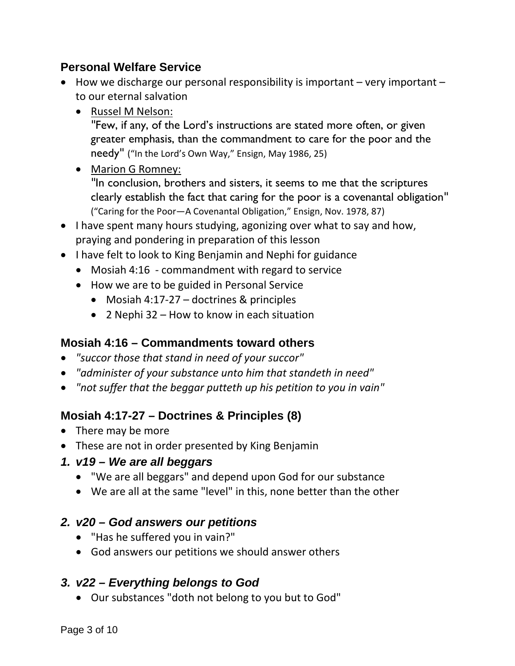#### **Personal Welfare Service**

- How we discharge our personal responsibility is important very important to our eternal salvation
	- Russel M Nelson:

"Few, if any, of the Lord's instructions are stated more often, or given greater emphasis, than the commandment to care for the poor and the needy" ("In the Lord's Own Way," Ensign, May 1986, 25)

- Marion G Romney: "In conclusion, brothers and sisters, it seems to me that the scriptures clearly establish the fact that caring for the poor is a covenantal obligation" ("Caring for the Poor—A Covenantal Obligation," Ensign, Nov. 1978, 87)
- I have spent many hours studying, agonizing over what to say and how, praying and pondering in preparation of this lesson
- I have felt to look to King Benjamin and Nephi for guidance
	- Mosiah 4:16 commandment with regard to service
	- How we are to be guided in Personal Service
		- Mosiah 4:17-27 doctrines & principles
		- 2 Nephi 32 How to know in each situation

## <span id="page-2-0"></span>**Mosiah 4:16 – Commandments toward others**

- *"succor those that stand in need of your succor"*
- *"administer of your substance unto him that standeth in need"*
- *"not suffer that the beggar putteth up his petition to you in vain"*

# <span id="page-2-1"></span>**Mosiah 4:17-27 – Doctrines & Principles (8)**

- <span id="page-2-2"></span>• There may be more
- These are not in order presented by King Benjamin

## *1. v19 – We are all beggars*

- "We are all beggars" and depend upon God for our substance
- We are all at the same "level" in this, none better than the other

## <span id="page-2-3"></span>*2. v20 – God answers our petitions*

- "Has he suffered you in vain?"
- God answers our petitions we should answer others

## <span id="page-2-4"></span>*3. v22 – Everything belongs to God*

• Our substances "doth not belong to you but to God"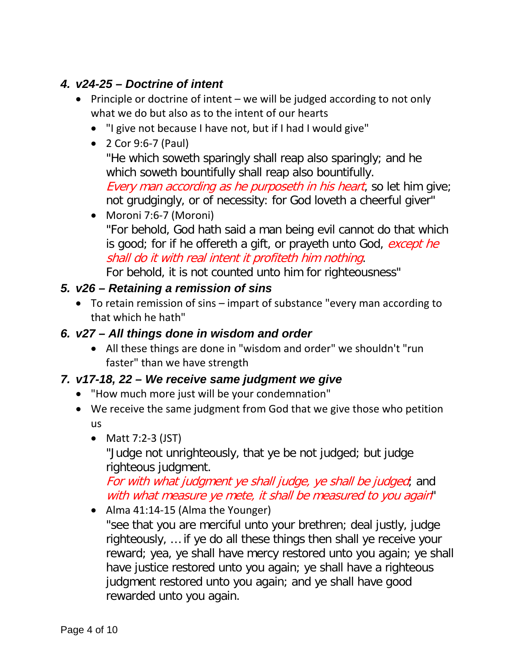# <span id="page-3-0"></span>*4. v24-25 – Doctrine of intent*

- Principle or doctrine of intent we will be judged according to not only what we do but also as to the intent of our hearts
	- "I give not because I have not, but if I had I would give"
	- 2 Cor 9:6-7 (Paul) "He which soweth sparingly shall reap also sparingly; and he which soweth bountifully shall reap also bountifully. Every man according as he purposeth in his heart, so let him give; not grudgingly, or of necessity: for God loveth a cheerful giver"
	- Moroni 7:6-7 (Moroni) "For behold, God hath said a man being evil cannot do that which is good; for if he offereth a gift, or prayeth unto God, except he shall do it with real intent it profiteth him nothing. For behold, it is not counted unto him for righteousness"

## <span id="page-3-1"></span>*5. v26 – Retaining a remission of sins*

- To retain remission of sins impart of substance "every man according to that which he hath"
- <span id="page-3-2"></span>*6. v27 – All things done in wisdom and order*
	- All these things are done in "wisdom and order" we shouldn't "run faster" than we have strength

## *7. v17-18, 22 – We receive same judgment we give*

- "How much more just will be your condemnation"
- We receive the same judgment from God that we give those who petition us
	- Matt 7:2-3 (JST)

"Judge not unrighteously, that ye be not judged; but judge righteous judgment.

For with what judgment ye shall judge, ye shall be judged; and with what measure ye mete, it shall be measured to you again"

• Alma 41:14-15 (Alma the Younger)

"see that you are merciful unto your brethren; deal justly, judge righteously, … if ye do all these things then shall ye receive your reward; yea, ye shall have mercy restored unto you again; ye shall have justice restored unto you again; ye shall have a righteous judgment restored unto you again; and ye shall have good rewarded unto you again.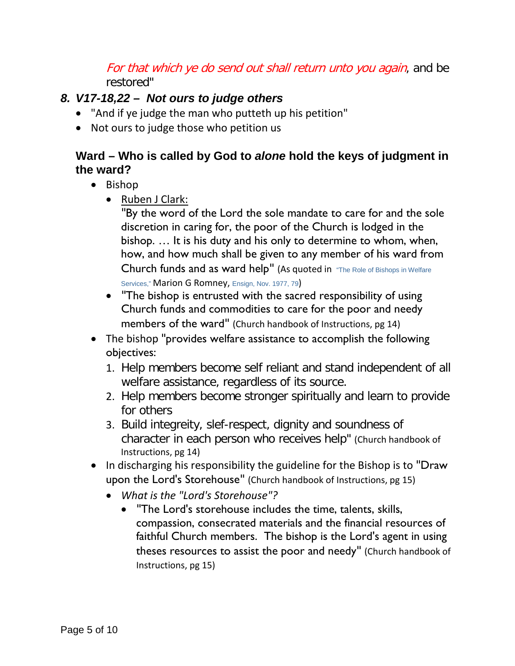## For that which ye do send out shall return unto you again, and be restored"

## <span id="page-4-0"></span>*8. V17-18,22 – Not ours to judge others*

- "And if ye judge the man who putteth up his petition"
- Not ours to judge those who petition us

#### <span id="page-4-1"></span>**Ward – Who is called by God to** *alone* **hold the keys of judgment in the ward?**

- Bishop
	- Ruben J Clark:

"By the word of the Lord the sole mandate to care for and the sole discretion in caring for, the poor of the Church is lodged in the bishop. … It is his duty and his only to determine to whom, when, how, and how much shall be given to any member of his ward from Church funds and as ward help" (As quoted in "The Role of Bishops in Welfare Services," Marion G Romney, Ensign, Nov. 1977, 79)

- "The bishop is entrusted with the sacred responsibility of using Church funds and commodities to care for the poor and needy members of the ward" (Church handbook of Instructions, pg 14)
- The bishop "provides welfare assistance to accomplish the following objectives:
	- 1. Help members become self reliant and stand independent of all welfare assistance, regardless of its source.
	- 2. Help members become stronger spiritually and learn to provide for others
	- 3. Build integreity, slef-respect, dignity and soundness of character in each person who receives help" (Church handbook of Instructions, pg 14)
- In discharging his responsibility the guideline for the Bishop is to "Draw" upon the Lord's Storehouse" (Church handbook of Instructions, pg 15)
	- *What is the "Lord's Storehouse"?*
		- "The Lord's storehouse includes the time, talents, skills, compassion, consecrated materials and the financial resources of faithful Church members. The bishop is the Lord's agent in using theses resources to assist the poor and needy" (Church handbook of Instructions, pg 15)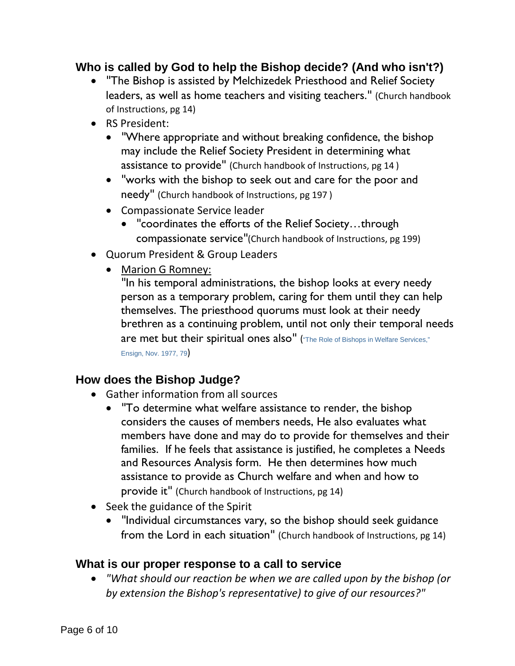## <span id="page-5-0"></span>**Who is called by God to help the Bishop decide? (And who isn't?)**

- "The Bishop is assisted by Melchizedek Priesthood and Relief Society leaders, as well as home teachers and visiting teachers." (Church handbook of Instructions, pg 14)
- RS President:
	- "Where appropriate and without breaking confidence, the bishop may include the Relief Society President in determining what assistance to provide" (Church handbook of Instructions, pg 14 )
	- "works with the bishop to seek out and care for the poor and needy" (Church handbook of Instructions, pg 197 )
	- Compassionate Service leader
		- "coordinates the efforts of the Relief Society…through compassionate service"(Church handbook of Instructions, pg 199)
- Quorum President & Group Leaders
	- Marion G Romney:

"In his temporal administrations, the bishop looks at every needy person as a temporary problem, caring for them until they can help themselves. The priesthood quorums must look at their needy brethren as a continuing problem, until not only their temporal needs are met but their spiritual ones also" ("The Role of Bishops in Welfare Services," Ensign, Nov. 1977, 79)

#### **How does the Bishop Judge?**

- Gather information from all sources
	- "To determine what welfare assistance to render, the bishop considers the causes of members needs, He also evaluates what members have done and may do to provide for themselves and their families. If he feels that assistance is justified, he completes a Needs and Resources Analysis form. He then determines how much assistance to provide as Church welfare and when and how to provide it" (Church handbook of Instructions, pg 14)
- Seek the guidance of the Spirit
	- "Individual circumstances vary, so the bishop should seek guidance from the Lord in each situation" (Church handbook of Instructions, pg 14)

#### <span id="page-5-1"></span>**What is our proper response to a call to service**

• *"What should our reaction be when we are called upon by the bishop (or by extension the Bishop's representative) to give of our resources?"*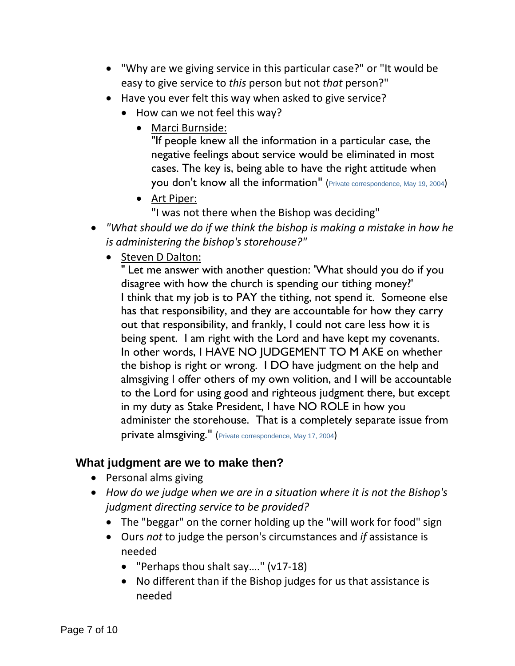- "Why are we giving service in this particular case?" or "It would be easy to give service to *this* person but not *that* person?"
- Have you ever felt this way when asked to give service?
	- How can we not feel this way?
		- Marci Burnside:

"If people knew all the information in a particular case, the negative feelings about service would be eliminated in most cases. The key is, being able to have the right attitude when you don't know all the information" (Private correspondence, May 19, 2004)

• Art Piper:

"I was not there when the Bishop was deciding"

- *"What should we do if we think the bishop is making a mistake in how he is administering the bishop's storehouse?"*
	- Steven D Dalton:

" Let me answer with another question: 'What should you do if you disagree with how the church is spending our tithing money?' I think that my job is to PAY the tithing, not spend it. Someone else has that responsibility, and they are accountable for how they carry out that responsibility, and frankly, I could not care less how it is being spent. I am right with the Lord and have kept my covenants. In other words, I HAVE NO JUDGEMENT TO M AKE on whether the bishop is right or wrong. I DO have judgment on the help and almsgiving I offer others of my own volition, and I will be accountable to the Lord for using good and righteous judgment there, but except in my duty as Stake President, I have NO ROLE in how you administer the storehouse. That is a completely separate issue from private almsgiving." (Private correspondence, May 17, 2004)

#### <span id="page-6-0"></span>**What judgment are we to make then?**

- Personal alms giving
- *How do we judge when we are in a situation where it is not the Bishop's judgment directing service to be provided?*
	- The "beggar" on the corner holding up the "will work for food" sign
	- Ours *not* to judge the person's circumstances and *if* assistance is needed
		- "Perhaps thou shalt say…." (v17-18)
		- No different than if the Bishop judges for us that assistance is needed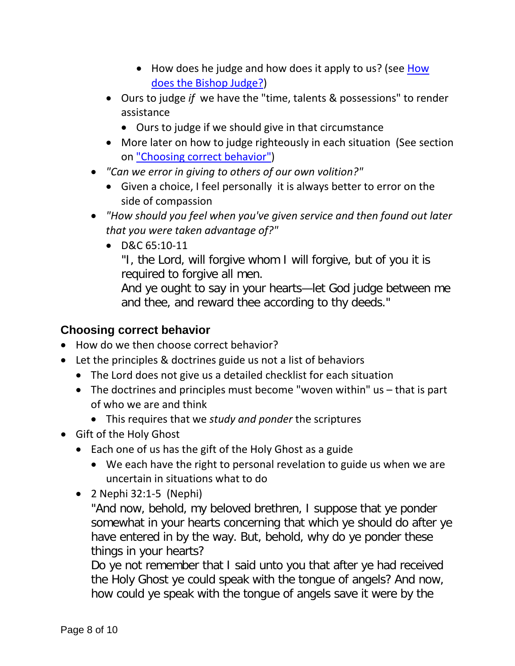- How does he judge and how does it apply to us? (see How does the Bishop Judge?)
- Ours to judge *if* we have the "time, talents & possessions" to render assistance
	- Ours to judge if we should give in that circumstance
- More later on how to judge righteously in each situation (See section on "Choosing correct behavior")
- *"Can we error in giving to others of our own volition?"*
	- Given a choice, I feel personally it is always better to error on the side of compassion
- *"How should you feel when you've given service and then found out later that you were taken advantage of?"*
	- D&C 65:10-11

"I, the Lord, will forgive whom I will forgive, but of you it is required to forgive all men.

And ye ought to say in your hearts—let God judge between me and thee, and reward thee according to thy deeds."

## <span id="page-7-0"></span>**Choosing correct behavior**

- How do we then choose correct behavior?
- Let the principles & doctrines guide us not a list of behaviors
	- The Lord does not give us a detailed checklist for each situation
	- The doctrines and principles must become "woven within" us that is part of who we are and think
		- This requires that we *study and ponder* the scriptures
- Gift of the Holy Ghost
	- Each one of us has the gift of the Holy Ghost as a guide
		- We each have the right to personal revelation to guide us when we are uncertain in situations what to do
	- $\bullet$  2 Nephi 32:1-5 (Nephi)

"And now, behold, my beloved brethren, I suppose that ye ponder somewhat in your hearts concerning that which ye should do after ye have entered in by the way. But, behold, why do ye ponder these things in your hearts?

Do ye not remember that I said unto you that after ye had received the Holy Ghost ye could speak with the tongue of angels? And now, how could ye speak with the tongue of angels save it were by the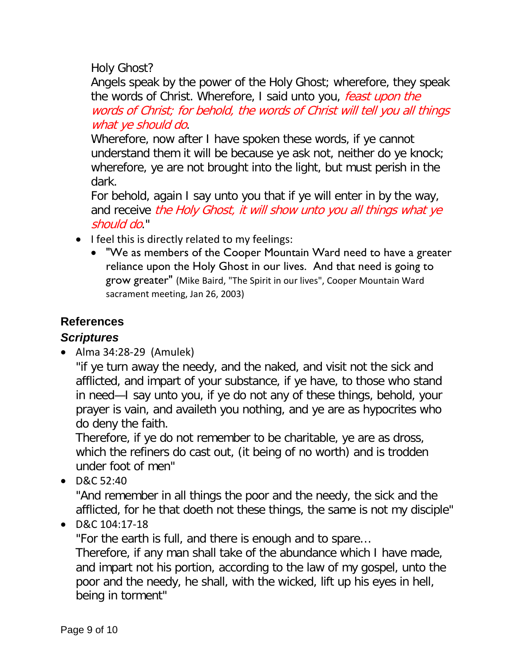Holy Ghost?

Angels speak by the power of the Holy Ghost; wherefore, they speak the words of Christ. Wherefore, I said unto you, feast upon the words of Christ; for behold, the words of Christ will tell you all things what ye should do.

Wherefore, now after I have spoken these words, if ye cannot understand them it will be because ye ask not, neither do ye knock; wherefore, ye are not brought into the light, but must perish in the dark.

For behold, again I say unto you that if ye will enter in by the way, and receive the Holy Ghost, it will show unto you all things what ye should do."

- I feel this is directly related to my feelings:
	- "We as members of the Cooper Mountain Ward need to have a greater reliance upon the Holy Ghost in our lives. And that need is going to grow greater" (Mike Baird, "The Spirit in our lives", Cooper Mountain Ward sacrament meeting, Jan 26, 2003)

# <span id="page-8-0"></span>**References**

# <span id="page-8-1"></span>*Scriptures*

• Alma 34:28-29 (Amulek)

"if ye turn away the needy, and the naked, and visit not the sick and afflicted, and impart of your substance, if ye have, to those who stand in need—I say unto you, if ye do not any of these things, behold, your prayer is vain, and availeth you nothing, and ye are as hypocrites who do deny the faith.

Therefore, if ye do not remember to be charitable, ye are as dross, which the refiners do cast out, (it being of no worth) and is trodden under foot of men"

• D&C 52:40

"And remember in all things the poor and the needy, the sick and the afflicted, for he that doeth not these things, the same is not my disciple"

• D&C 104:17-18

"For the earth is full, and there is enough and to spare…

Therefore, if any man shall take of the abundance which I have made, and impart not his portion, according to the law of my gospel, unto the poor and the needy, he shall, with the wicked, lift up his eyes in hell, being in torment"